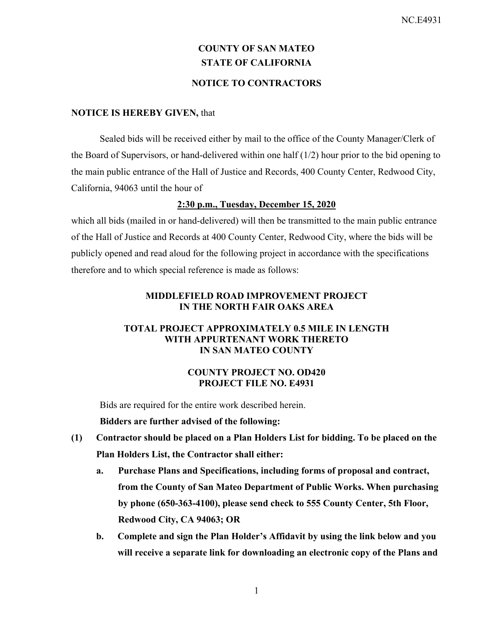# **COUNTY OF SAN MATEO STATE OF CALIFORNIA NOTICE TO CONTRACTORS**

### **NOTICE IS HEREBY GIVEN,** that

Sealed bids will be received either by mail to the office of the County Manager/Clerk of the Board of Supervisors, or hand-delivered within one half (1/2) hour prior to the bid opening to the main public entrance of the Hall of Justice and Records, 400 County Center, Redwood City, California, 94063 until the hour of

## **2:30 p.m., Tuesday, December 15, 2020**

which all bids (mailed in or hand-delivered) will then be transmitted to the main public entrance of the Hall of Justice and Records at 400 County Center, Redwood City, where the bids will be publicly opened and read aloud for the following project in accordance with the specifications therefore and to which special reference is made as follows:

## **MIDDLEFIELD ROAD IMPROVEMENT PROJECT IN THE NORTH FAIR OAKS AREA**

### **TOTAL PROJECT APPROXIMATELY 0.5 MILE IN LENGTH WITH APPURTENANT WORK THERETO IN SAN MATEO COUNTY**

### **COUNTY PROJECT NO. OD420 PROJECT FILE NO. E4931**

Bids are required for the entire work described herein.

**Bidders are further advised of the following:** 

- **(1) Contractor should be placed on a Plan Holders List for bidding. To be placed on the Plan Holders List, the Contractor shall either:** 
	- **a. Purchase Plans and Specifications, including forms of proposal and contract, from the County of San Mateo Department of Public Works. When purchasing by phone (650-363-4100), please send check to 555 County Center, 5th Floor, Redwood City, CA 94063; OR**
	- **b. Complete and sign the Plan Holder's Affidavit by using the link below and you will receive a separate link for downloading an electronic copy of the Plans and**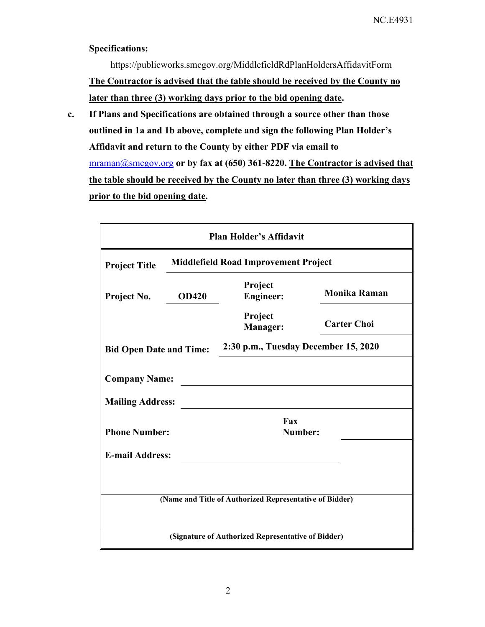### **Specifications:**

https://publicworks.smcgov.org/MiddlefieldRdPlanHoldersAffidavitForm **The Contractor is advised that the table should be received by the County no later than three (3) working days prior to the bid opening date.** 

**c. If Plans and Specifications are obtained through a source other than those outlined in 1a and 1b above, complete and sign the following Plan Holder's Affidavit and return to the County by either PDF via email to**  mraman@smcgov.org **or by fax at (650) 361-8220. The Contractor is advised that the table should be received by the County no later than three (3) working days prior to the bid opening date.** 

|                                                                     | <b>Plan Holder's Affidavit</b> |                                                    |                     |  |  |
|---------------------------------------------------------------------|--------------------------------|----------------------------------------------------|---------------------|--|--|
| <b>Middlefield Road Improvement Project</b><br><b>Project Title</b> |                                |                                                    |                     |  |  |
| Project No.                                                         | <b>OD420</b>                   | Project<br><b>Engineer:</b>                        | <b>Monika Raman</b> |  |  |
|                                                                     |                                | Project<br>Manager:                                | <b>Carter Choi</b>  |  |  |
| <b>Bid Open Date and Time:</b>                                      |                                | 2:30 p.m., Tuesday December 15, 2020               |                     |  |  |
| <b>Company Name:</b>                                                |                                |                                                    |                     |  |  |
| <b>Mailing Address:</b>                                             |                                |                                                    |                     |  |  |
| <b>Phone Number:</b>                                                |                                | Fax<br>Number:                                     |                     |  |  |
| <b>E-mail Address:</b>                                              |                                |                                                    |                     |  |  |
|                                                                     |                                |                                                    |                     |  |  |
| (Name and Title of Authorized Representative of Bidder)             |                                |                                                    |                     |  |  |
|                                                                     |                                |                                                    |                     |  |  |
|                                                                     |                                | (Signature of Authorized Representative of Bidder) |                     |  |  |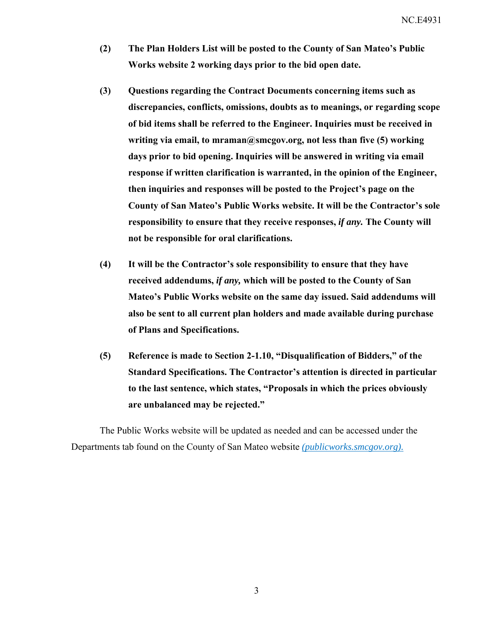NC.E4931

- **(2) The Plan Holders List will be posted to the County of San Mateo's Public Works website 2 working days prior to the bid open date.**
- **(3) Questions regarding the Contract Documents concerning items such as discrepancies, conflicts, omissions, doubts as to meanings, or regarding scope of bid items shall be referred to the Engineer. Inquiries must be received in writing via email, to mraman@smcgov.org, not less than five (5) working days prior to bid opening. Inquiries will be answered in writing via email response if written clarification is warranted, in the opinion of the Engineer, then inquiries and responses will be posted to the Project's page on the County of San Mateo's Public Works website. It will be the Contractor's sole responsibility to ensure that they receive responses,** *if any.* **The County will not be responsible for oral clarifications.**
- **(4) It will be the Contractor's sole responsibility to ensure that they have received addendums,** *if any,* **which will be posted to the County of San Mateo's Public Works website on the same day issued. Said addendums will also be sent to all current plan holders and made available during purchase of Plans and Specifications.**
- **(5) Reference is made to Section 2-1.10, "Disqualification of Bidders," of the Standard Specifications. The Contractor's attention is directed in particular to the last sentence, which states, "Proposals in which the prices obviously are unbalanced may be rejected."**

The Public Works website will be updated as needed and can be accessed under the Departments tab found on the County of San Mateo website *(publicworks.smcgov.org).*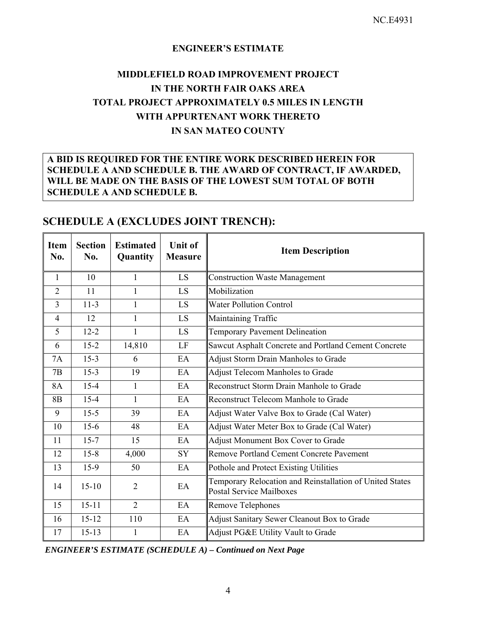### **ENGINEER'S ESTIMATE**

## **MIDDLEFIELD ROAD IMPROVEMENT PROJECT IN THE NORTH FAIR OAKS AREA TOTAL PROJECT APPROXIMATELY 0.5 MILES IN LENGTH WITH APPURTENANT WORK THERETO IN SAN MATEO COUNTY**

## **A BID IS REQUIRED FOR THE ENTIRE WORK DESCRIBED HEREIN FOR SCHEDULE A AND SCHEDULE B. THE AWARD OF CONTRACT, IF AWARDED, WILL BE MADE ON THE BASIS OF THE LOWEST SUM TOTAL OF BOTH SCHEDULE A AND SCHEDULE B.**

| <b>Item</b><br>No. | <b>Section</b><br>No. | <b>Estimated</b><br>Quantity | <b>Unit of</b><br><b>Measure</b> | <b>Item Description</b>                                                                     |
|--------------------|-----------------------|------------------------------|----------------------------------|---------------------------------------------------------------------------------------------|
| $\mathbf{1}$       | 10                    | 1                            | <b>LS</b>                        | <b>Construction Waste Management</b>                                                        |
| $\overline{2}$     | 11                    | $\mathbf{1}$                 | LS                               | Mobilization                                                                                |
| $\overline{3}$     | $11-3$                | 1                            | <b>LS</b>                        | <b>Water Pollution Control</b>                                                              |
| $\overline{4}$     | 12                    | $\mathbf{1}$                 | LS                               | Maintaining Traffic                                                                         |
| 5                  | $12 - 2$              | 1                            | <b>LS</b>                        | Temporary Pavement Delineation                                                              |
| 6                  | $15 - 2$              | 14,810                       | LF                               | Sawcut Asphalt Concrete and Portland Cement Concrete                                        |
| 7A                 | $15-3$                | 6                            | EA                               | Adjust Storm Drain Manholes to Grade                                                        |
| 7B                 | $15-3$                | 19                           | EA                               | Adjust Telecom Manholes to Grade                                                            |
| 8A                 | $15 - 4$              | 1                            | EA                               | Reconstruct Storm Drain Manhole to Grade                                                    |
| <b>8B</b>          | $15 - 4$              | $\mathbf{1}$                 | EA                               | Reconstruct Telecom Manhole to Grade                                                        |
| 9                  | $15 - 5$              | 39                           | EA                               | Adjust Water Valve Box to Grade (Cal Water)                                                 |
| 10                 | $15-6$                | 48                           | EA                               | Adjust Water Meter Box to Grade (Cal Water)                                                 |
| 11                 | $15 - 7$              | 15                           | EA                               | Adjust Monument Box Cover to Grade                                                          |
| 12                 | $15 - 8$              | 4,000                        | SY                               | Remove Portland Cement Concrete Pavement                                                    |
| 13                 | $15-9$                | 50                           | EA                               | Pothole and Protect Existing Utilities                                                      |
| 14                 | $15 - 10$             | $\overline{2}$               | EA                               | Temporary Relocation and Reinstallation of United States<br><b>Postal Service Mailboxes</b> |
| 15                 | $15 - 11$             | $\overline{2}$               | EA                               | Remove Telephones                                                                           |
| 16                 | $15 - 12$             | 110                          | EA                               | Adjust Sanitary Sewer Cleanout Box to Grade                                                 |
| 17                 | $15 - 13$             | 1                            | EA                               | Adjust PG&E Utility Vault to Grade                                                          |

## **SCHEDULE A (EXCLUDES JOINT TRENCH):**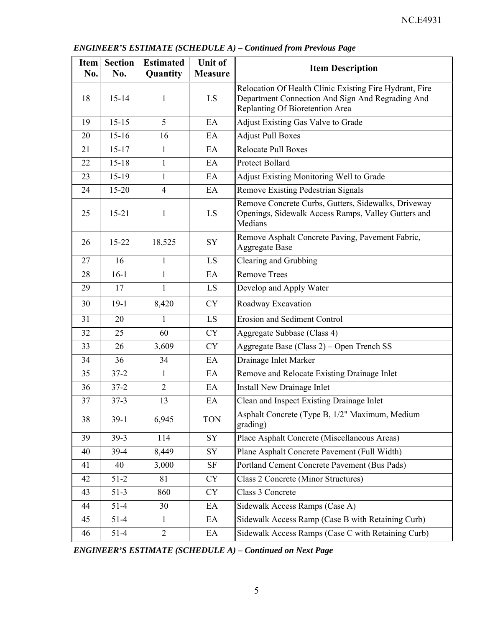| <b>Item</b><br>No. | <b>Section</b><br>No. | <b>Estimated</b><br>Quantity | <b>Unit of</b><br><b>Measure</b> | <b>Item Description</b>                                                                                                                        |
|--------------------|-----------------------|------------------------------|----------------------------------|------------------------------------------------------------------------------------------------------------------------------------------------|
| 18                 | $15 - 14$             | 1                            | LS                               | Relocation Of Health Clinic Existing Fire Hydrant, Fire<br>Department Connection And Sign And Regrading And<br>Replanting Of Bioretention Area |
| 19                 | $15 - 15$             | 5                            | EA                               | Adjust Existing Gas Valve to Grade                                                                                                             |
| 20                 | $15 - 16$             | 16                           | EA                               | <b>Adjust Pull Boxes</b>                                                                                                                       |
| 21                 | $15 - 17$             | 1                            | EA                               | <b>Relocate Pull Boxes</b>                                                                                                                     |
| 22                 | $15 - 18$             | $\mathbf{1}$                 | EA                               | <b>Protect Bollard</b>                                                                                                                         |
| 23                 | 15-19                 | $\mathbf{1}$                 | EA                               | Adjust Existing Monitoring Well to Grade                                                                                                       |
| 24                 | 15-20                 | $\overline{4}$               | EA                               | Remove Existing Pedestrian Signals                                                                                                             |
| 25                 | $15 - 21$             | $\mathbf{1}$                 | LS                               | Remove Concrete Curbs, Gutters, Sidewalks, Driveway<br>Openings, Sidewalk Access Ramps, Valley Gutters and<br>Medians                          |
| 26                 | $15 - 22$             | 18,525                       | SY                               | Remove Asphalt Concrete Paving, Pavement Fabric,<br><b>Aggregate Base</b>                                                                      |
| 27                 | 16                    | $\mathbf{1}$                 | LS                               | Clearing and Grubbing                                                                                                                          |
| 28                 | $16-1$                | $\mathbf{1}$                 | EA                               | Remove Trees                                                                                                                                   |
| 29                 | 17                    | $\mathbf{1}$                 | LS                               | Develop and Apply Water                                                                                                                        |
| 30                 | $19-1$                | 8,420                        | <b>CY</b>                        | Roadway Excavation                                                                                                                             |
| 31                 | 20                    | 1                            | LS                               | <b>Erosion and Sediment Control</b>                                                                                                            |
| 32                 | 25                    | 60                           | <b>CY</b>                        | Aggregate Subbase (Class 4)                                                                                                                    |
| 33                 | 26                    | 3,609                        | <b>CY</b>                        | Aggregate Base (Class 2) - Open Trench SS                                                                                                      |
| 34                 | 36                    | 34                           | EA                               | Drainage Inlet Marker                                                                                                                          |
| 35                 | $37 - 2$              | $\mathbf{1}$                 | EA                               | Remove and Relocate Existing Drainage Inlet                                                                                                    |
| 36                 | $37 - 2$              | $\overline{2}$               | EA                               | Install New Drainage Inlet                                                                                                                     |
| 37                 | $37 - 3$              | 13                           | EA                               | Clean and Inspect Existing Drainage Inlet                                                                                                      |
| 38                 | $39-1$                | 6,945                        | <b>TON</b>                       | Asphalt Concrete (Type B, 1/2" Maximum, Medium<br>grading)                                                                                     |
| 39                 | $39 - 3$              | 114                          | SY                               | Place Asphalt Concrete (Miscellaneous Areas)                                                                                                   |
| 40                 | $39-4$                | 8,449                        | SY                               | Plane Asphalt Concrete Pavement (Full Width)                                                                                                   |
| 41                 | 40                    | 3,000                        | SF                               | Portland Cement Concrete Pavement (Bus Pads)                                                                                                   |
| 42                 | $51-2$                | 81                           | <b>CY</b>                        | Class 2 Concrete (Minor Structures)                                                                                                            |
| 43                 | $51-3$                | 860                          | <b>CY</b>                        | Class 3 Concrete                                                                                                                               |
| 44                 | $51-4$                | 30                           | EA                               | Sidewalk Access Ramps (Case A)                                                                                                                 |
| 45                 | $51 - 4$              | $\mathbf{1}$                 | EA                               | Sidewalk Access Ramp (Case B with Retaining Curb)                                                                                              |
| 46                 | $51 - 4$              | $\sqrt{2}$                   | EA                               | Sidewalk Access Ramps (Case C with Retaining Curb)                                                                                             |

*ENGINEER'S ESTIMATE (SCHEDULE A) – Continued from Previous Page*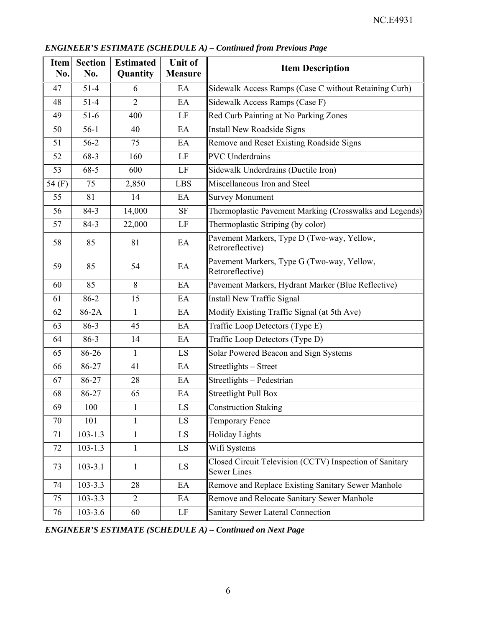| <b>Item</b><br>No. | <b>Section</b><br>No. | <b>Estimated</b><br>Quantity | <b>Unit of</b><br><b>Measure</b> | <b>Item Description</b>                                                       |
|--------------------|-----------------------|------------------------------|----------------------------------|-------------------------------------------------------------------------------|
| 47                 | $51-4$                | 6                            | EA                               | Sidewalk Access Ramps (Case C without Retaining Curb)                         |
| 48                 | $51-4$                | $\overline{2}$               | EA                               | Sidewalk Access Ramps (Case F)                                                |
| 49                 | $51-6$                | 400                          | LF                               | Red Curb Painting at No Parking Zones                                         |
| 50                 | $56-1$                | 40                           | EA                               | Install New Roadside Signs                                                    |
| 51                 | $56-2$                | 75                           | EA                               | Remove and Reset Existing Roadside Signs                                      |
| 52                 | 68-3                  | 160                          | LF                               | <b>PVC</b> Underdrains                                                        |
| 53                 | $68 - 5$              | 600                          | LF                               | Sidewalk Underdrains (Ductile Iron)                                           |
| 54 $(F)$           | 75                    | 2,850                        | <b>LBS</b>                       | Miscellaneous Iron and Steel                                                  |
| 55                 | 81                    | 14                           | EA                               | <b>Survey Monument</b>                                                        |
| 56                 | 84-3                  | 14,000                       | <b>SF</b>                        | Thermoplastic Pavement Marking (Crosswalks and Legends)                       |
| 57                 | 84-3                  | 22,000                       | LF                               | Thermoplastic Striping (by color)                                             |
| 58                 | 85                    | 81                           | EA                               | Pavement Markers, Type D (Two-way, Yellow,<br>Retroreflective)                |
| 59                 | 85                    | 54                           | EA                               | Pavement Markers, Type G (Two-way, Yellow,<br>Retroreflective)                |
| 60                 | 85                    | 8                            | EA                               | Pavement Markers, Hydrant Marker (Blue Reflective)                            |
| 61                 | 86-2                  | 15                           | EA                               | Install New Traffic Signal                                                    |
| 62                 | 86-2A                 | $\mathbf{1}$                 | EA                               | Modify Existing Traffic Signal (at 5th Ave)                                   |
| 63                 | 86-3                  | 45                           | EA                               | Traffic Loop Detectors (Type E)                                               |
| 64                 | 86-3                  | 14                           | EA                               | Traffic Loop Detectors (Type D)                                               |
| 65                 | 86-26                 | $\mathbf{1}$                 | LS                               | Solar Powered Beacon and Sign Systems                                         |
| 66                 | 86-27                 | 41                           | EA                               | Streetlights - Street                                                         |
| 67                 | 86-27                 | 28                           | EA                               | Streetlights - Pedestrian                                                     |
| 68                 | 86-27                 | 65                           | EA                               | <b>Streetlight Pull Box</b>                                                   |
| 69                 | 100                   | $\mathbf{1}$                 | LS                               | <b>Construction Staking</b>                                                   |
| 70                 | 101                   | $\mathbf{1}$                 | LS                               | <b>Temporary Fence</b>                                                        |
| 71                 | $103 - 1.3$           | $\mathbf{1}$                 | LS                               | <b>Holiday Lights</b>                                                         |
| 72                 | $103 - 1.3$           | $\mathbf{1}$                 | $\mathop{\hbox{\rm LS}}$         | Wifi Systems                                                                  |
| 73                 | $103 - 3.1$           | $\mathbf{1}$                 | LS                               | Closed Circuit Television (CCTV) Inspection of Sanitary<br><b>Sewer Lines</b> |
| 74                 | $103 - 3.3$           | 28                           | EA                               | Remove and Replace Existing Sanitary Sewer Manhole                            |
| 75                 | $103 - 3.3$           | $\overline{2}$               | EA                               | Remove and Relocate Sanitary Sewer Manhole                                    |
| 76                 | $103 - 3.6$           | 60                           | $\rm LF$                         | Sanitary Sewer Lateral Connection                                             |

*ENGINEER'S ESTIMATE (SCHEDULE A) – Continued from Previous Page*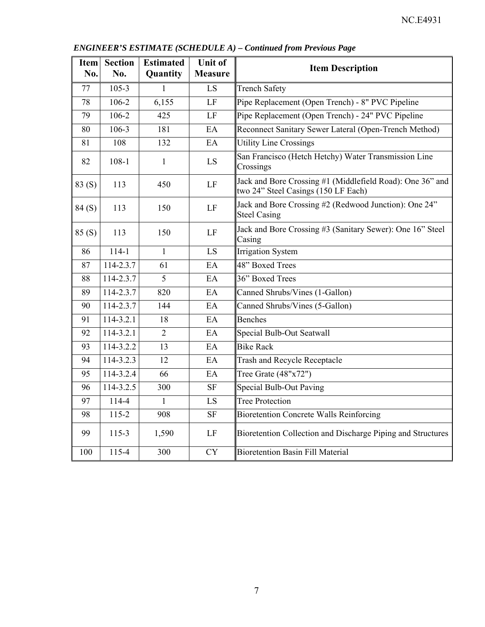| Item<br>No. | <b>Section</b><br>No. | <b>Estimated</b><br>Quantity | <b>Unit of</b><br><b>Measure</b> | <b>Item Description</b>                                                                          |
|-------------|-----------------------|------------------------------|----------------------------------|--------------------------------------------------------------------------------------------------|
| 77          | $105 - 3$             | 1                            | LS                               | <b>Trench Safety</b>                                                                             |
| 78          | 106-2                 | 6,155                        | LF                               | Pipe Replacement (Open Trench) - 8" PVC Pipeline                                                 |
| 79          | 106-2                 | 425                          | LF                               | Pipe Replacement (Open Trench) - 24" PVC Pipeline                                                |
| 80          | $106 - 3$             | 181                          | EA                               | Reconnect Sanitary Sewer Lateral (Open-Trench Method)                                            |
| 81          | 108                   | 132                          | EA                               | <b>Utility Line Crossings</b>                                                                    |
| 82          | $108 - 1$             | $\mathbf{1}$                 | LS                               | San Francisco (Hetch Hetchy) Water Transmission Line<br>Crossings                                |
| 83(S)       | 113                   | 450                          | LF                               | Jack and Bore Crossing #1 (Middlefield Road): One 36" and<br>two 24" Steel Casings (150 LF Each) |
| 84(S)       | 113                   | 150                          | LF                               | Jack and Bore Crossing #2 (Redwood Junction): One 24"<br><b>Steel Casing</b>                     |
| 85(S)       | 113                   | 150                          | LF                               | Jack and Bore Crossing #3 (Sanitary Sewer): One 16" Steel<br>Casing                              |
| 86          | $114 - 1$             | $\mathbf{1}$                 | LS                               | <b>Irrigation System</b>                                                                         |
| 87          | 114-2.3.7             | 61                           | EA                               | 48" Boxed Trees                                                                                  |
| 88          | 114-2.3.7             | 5                            | EA                               | 36" Boxed Trees                                                                                  |
| 89          | 114-2.3.7             | 820                          | EA                               | Canned Shrubs/Vines (1-Gallon)                                                                   |
| 90          | 114-2.3.7             | 144                          | EA                               | Canned Shrubs/Vines (5-Gallon)                                                                   |
| 91          | 114-3.2.1             | 18                           | EA                               | <b>Benches</b>                                                                                   |
| 92          | 114-3.2.1             | $\overline{2}$               | EA                               | Special Bulb-Out Seatwall                                                                        |
| 93          | 114-3.2.2             | 13                           | EA                               | <b>Bike Rack</b>                                                                                 |
| 94          | 114-3.2.3             | 12                           | EA                               | Trash and Recycle Receptacle                                                                     |
| 95          | 114-3.2.4             | 66                           | EA                               | Tree Grate $(48"x72")$                                                                           |
| 96          | 114-3.2.5             | 300                          | $\rm{SF}$                        | <b>Special Bulb-Out Paving</b>                                                                   |
| 97          | 114-4                 | $\mathbf{1}$                 | LS                               | <b>Tree Protection</b>                                                                           |
| 98          | $115 - 2$             | 908                          | $\rm{SF}$                        | <b>Bioretention Concrete Walls Reinforcing</b>                                                   |
| 99          | $115-3$               | 1,590                        | LF                               | Bioretention Collection and Discharge Piping and Structures                                      |
| 100         | 115-4                 | 300                          | <b>CY</b>                        | <b>Bioretention Basin Fill Material</b>                                                          |

*ENGINEER'S ESTIMATE (SCHEDULE A) – Continued from Previous Page*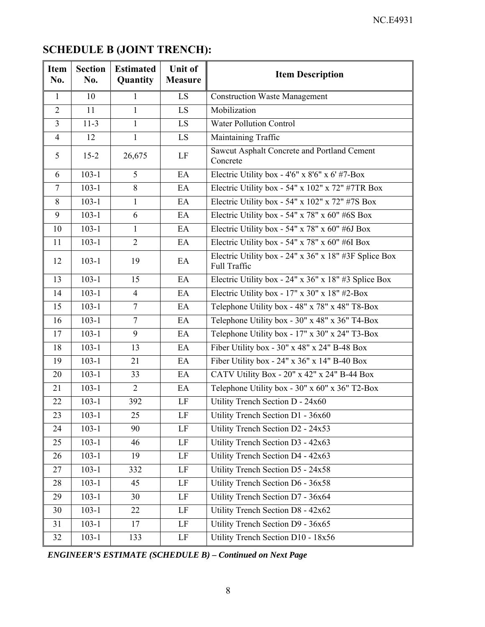# **SCHEDULE B (JOINT TRENCH):**

| Item<br>No.    | <b>Section</b><br>No. | <b>Estimated</b><br>Quantity | <b>Unit of</b><br><b>Measure</b> | <b>Item Description</b>                                               |
|----------------|-----------------------|------------------------------|----------------------------------|-----------------------------------------------------------------------|
| $\mathbf{1}$   | 10                    | 1                            | LS                               | <b>Construction Waste Management</b>                                  |
| $\overline{2}$ | 11                    | $\mathbf{1}$                 | LS                               | Mobilization                                                          |
| $\overline{3}$ | $11-3$                | $\mathbf{1}$                 | LS                               | <b>Water Pollution Control</b>                                        |
| $\overline{4}$ | 12                    | $\mathbf{1}$                 | LS.                              | Maintaining Traffic                                                   |
| 5              | $15 - 2$              | 26,675                       | LF                               | Sawcut Asphalt Concrete and Portland Cement<br>Concrete               |
| 6              | $103 - 1$             | 5                            | EA                               | Electric Utility box - $4'6''$ x $8'6''$ x $6'$ #7-Box                |
| $\overline{7}$ | $103 - 1$             | 8                            | EA                               | Electric Utility box - 54" x 102" x 72" #7TR Box                      |
| 8              | $103-1$               | 1                            | EA                               | Electric Utility box - 54" x 102" x 72" #7S Box                       |
| 9              | $103 - 1$             | 6                            | EA                               | Electric Utility box - 54" x 78" x 60" #6S Box                        |
| 10             | $103 - 1$             | $\mathbf{1}$                 | EA                               | Electric Utility box - 54" x 78" x 60" #6J Box                        |
| 11             | $103 - 1$             | $\overline{2}$               | EA                               | Electric Utility box - 54" x 78" x 60" #6I Box                        |
| 12             | $103 - 1$             | 19                           | EA                               | Electric Utility box - 24" x 36" x 18" #3F Splice Box<br>Full Traffic |
| 13             | $103 - 1$             | 15                           | EA                               | Electric Utility box - 24" x 36" x 18" #3 Splice Box                  |
| 14             | $103 - 1$             | $\overline{4}$               | EA                               | Electric Utility box - 17" x 30" x 18" #2-Box                         |
| 15             | $103-1$               | $\overline{7}$               | EA                               | Telephone Utility box - 48" x 78" x 48" T8-Box                        |
| 16             | $103-1$               | $\overline{7}$               | EA                               | Telephone Utility box - 30" x 48" x 36" T4-Box                        |
| 17             | $103 - 1$             | 9                            | EA                               | Telephone Utility box - 17" x 30" x 24" T3-Box                        |
| 18             | $103 - 1$             | 13                           | EA                               | Fiber Utility box - $30''$ x $48''$ x $24''$ B-48 Box                 |
| 19             | $103 - 1$             | 21                           | EA                               | Fiber Utility box - 24" x 36" x 14" B-40 Box                          |
| 20             | $103 - 1$             | 33                           | EA                               | CATV Utility Box - 20" x 42" x 24" B-44 Box                           |
| 21             | $103 - 1$             | $\overline{2}$               | EA                               | Telephone Utility box - 30" x 60" x 36" T2-Box                        |
| 22             | $103 - 1$             | 392                          | LF                               | Utility Trench Section D - 24x60                                      |
| 23             | $103-1$               | 25                           | LF                               | Utility Trench Section D1 - 36x60                                     |
| 24             | $103 - 1$             | 90                           | LF                               | Utility Trench Section D2 - 24x53                                     |
| 25             | $103 - 1$             | 46                           | LF                               | Utility Trench Section D3 - 42x63                                     |
| 26             | $103 - 1$             | 19                           | LF                               | Utility Trench Section D4 - 42x63                                     |
| 27             | $103 - 1$             | 332                          | LF                               | Utility Trench Section D5 - 24x58                                     |
| 28             | $103 - 1$             | 45                           | LF                               | Utility Trench Section D6 - 36x58                                     |
| 29             | $103 - 1$             | 30                           | LF                               | Utility Trench Section D7 - 36x64                                     |
| 30             | $103 - 1$             | 22                           | LF                               | Utility Trench Section D8 - 42x62                                     |
| 31             | $103 - 1$             | 17                           | LF                               | Utility Trench Section D9 - 36x65                                     |
| 32             | $103 - 1$             | 133                          | LF                               | Utility Trench Section D10 - 18x56                                    |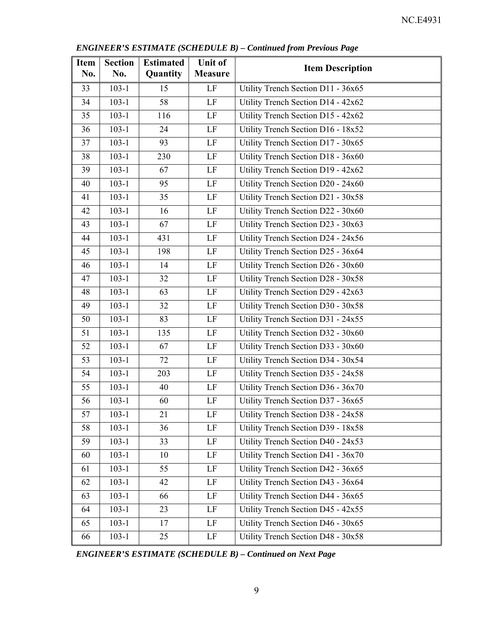| Item<br>No. | <b>Section</b><br>No. | <b>Estimated</b><br>Quantity | <b>Unit of</b><br><b>Measure</b> | <b>Item Description</b>            |
|-------------|-----------------------|------------------------------|----------------------------------|------------------------------------|
| 33          | $103 - 1$             | 15                           | $\rm LF$                         | Utility Trench Section D11 - 36x65 |
| 34          | $103 - 1$             | 58                           | $\rm LF$                         | Utility Trench Section D14 - 42x62 |
| 35          | $103 - 1$             | 116                          | LF                               | Utility Trench Section D15 - 42x62 |
| 36          | $103 - 1$             | 24                           | LF                               | Utility Trench Section D16 - 18x52 |
| 37          | $103 - 1$             | 93                           | LF                               | Utility Trench Section D17 - 30x65 |
| 38          | $103-1$               | 230                          | LF                               | Utility Trench Section D18 - 36x60 |
| 39          | $103 - 1$             | 67                           | $\rm LF$                         | Utility Trench Section D19 - 42x62 |
| 40          | $103-1$               | 95                           | $\rm LF$                         | Utility Trench Section D20 - 24x60 |
| 41          | $103 - 1$             | 35                           | LF                               | Utility Trench Section D21 - 30x58 |
| 42          | $103-1$               | 16                           | $\rm LF$                         | Utility Trench Section D22 - 30x60 |
| 43          | $103 - 1$             | 67                           | $\rm LF$                         | Utility Trench Section D23 - 30x63 |
| 44          | $103 - 1$             | 431                          | $\rm LF$                         | Utility Trench Section D24 - 24x56 |
| 45          | $103 - 1$             | 198                          | LF                               | Utility Trench Section D25 - 36x64 |
| 46          | $103 - 1$             | 14                           | $\rm LF$                         | Utility Trench Section D26 - 30x60 |
| 47          | $103 - 1$             | 32                           | $\rm LF$                         | Utility Trench Section D28 - 30x58 |
| 48          | $103-1$               | 63                           | LF                               | Utility Trench Section D29 - 42x63 |
| 49          | $103-1$               | 32                           | $\rm LF$                         | Utility Trench Section D30 - 30x58 |
| 50          | $103 - 1$             | 83                           | LF                               | Utility Trench Section D31 - 24x55 |
| 51          | $103 - 1$             | 135                          | LF                               | Utility Trench Section D32 - 30x60 |
| 52          | $103-1$               | 67                           | LF                               | Utility Trench Section D33 - 30x60 |
| 53          | $103 - 1$             | 72                           | LF                               | Utility Trench Section D34 - 30x54 |
| 54          | $103-1$               | 203                          | LF                               | Utility Trench Section D35 - 24x58 |
| 55          | $103 - 1$             | 40                           | LF                               | Utility Trench Section D36 - 36x70 |
| 56          | $103 - 1$             | 60                           | $\rm LF$                         | Utility Trench Section D37 - 36x65 |
| 57          | $103 - 1$             | 21                           | LF                               | Utility Trench Section D38 - 24x58 |
| 58          | $103 - 1$             | 36                           | LF                               | Utility Trench Section D39 - 18x58 |
| 59          | $103-1$               | 33                           | LF                               | Utility Trench Section D40 - 24x53 |
| 60          | $103-1$               | 10                           | LF                               | Utility Trench Section D41 - 36x70 |
| 61          | $103-1$               | 55                           | LF                               | Utility Trench Section D42 - 36x65 |
| 62          | $103-1$               | 42                           | LF                               | Utility Trench Section D43 - 36x64 |
| 63          | $103-1$               | 66                           | LF                               | Utility Trench Section D44 - 36x65 |
| 64          | $103-1$               | 23                           | LF                               | Utility Trench Section D45 - 42x55 |
| 65          | $103 - 1$             | 17                           | LF                               | Utility Trench Section D46 - 30x65 |
| 66          | $103 - 1$             | 25                           | LF                               | Utility Trench Section D48 - 30x58 |

*ENGINEER'S ESTIMATE (SCHEDULE B) – Continued from Previous Page*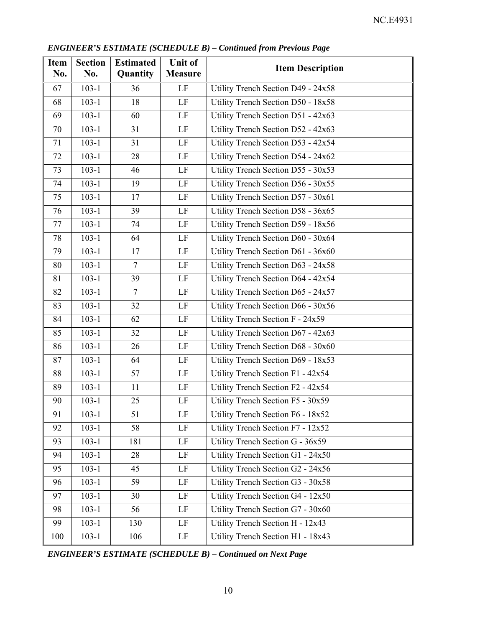| <b>Item</b><br>No. | <b>Section</b><br>No. | <b>Estimated</b><br>Quantity | <b>Unit of</b><br><b>Measure</b> | <b>Item Description</b>            |
|--------------------|-----------------------|------------------------------|----------------------------------|------------------------------------|
| 67                 | $103 - 1$             | 36                           | LF                               | Utility Trench Section D49 - 24x58 |
| 68                 | $103 - 1$             | 18                           | $\rm LF$                         | Utility Trench Section D50 - 18x58 |
| 69                 | $103 - 1$             | 60                           | LF                               | Utility Trench Section D51 - 42x63 |
| 70                 | $103 - 1$             | 31                           | LF                               | Utility Trench Section D52 - 42x63 |
| 71                 | $103-1$               | 31                           | LF                               | Utility Trench Section D53 - 42x54 |
| 72                 | $103 - 1$             | 28                           | LF                               | Utility Trench Section D54 - 24x62 |
| 73                 | $103-1$               | 46                           | $\rm LF$                         | Utility Trench Section D55 - 30x53 |
| 74                 | $103 - 1$             | 19                           | $\rm LF$                         | Utility Trench Section D56 - 30x55 |
| 75                 | $103 - 1$             | 17                           | $\rm LF$                         | Utility Trench Section D57 - 30x61 |
| 76                 | $103 - 1$             | 39                           | $\rm LF$                         | Utility Trench Section D58 - 36x65 |
| 77                 | $103-1$               | 74                           | LF                               | Utility Trench Section D59 - 18x56 |
| 78                 | $103-1$               | 64                           | LF                               | Utility Trench Section D60 - 30x64 |
| 79                 | $103 - 1$             | 17                           | LF                               | Utility Trench Section D61 - 36x60 |
| 80                 | $103 - 1$             | $\overline{7}$               | LF                               | Utility Trench Section D63 - 24x58 |
| 81                 | $103 - 1$             | 39                           | LF                               | Utility Trench Section D64 - 42x54 |
| 82                 | $103 - 1$             | $\overline{7}$               | $\rm LF$                         | Utility Trench Section D65 - 24x57 |
| 83                 | $103 - 1$             | 32                           | $\rm LF$                         | Utility Trench Section D66 - 30x56 |
| 84                 | $103 - 1$             | 62                           | $\rm LF$                         | Utility Trench Section F - 24x59   |
| 85                 | $103-1$               | 32                           | LF                               | Utility Trench Section D67 - 42x63 |
| 86                 | $103 - 1$             | 26                           | LF                               | Utility Trench Section D68 - 30x60 |
| 87                 | $103 - 1$             | 64                           | LF                               | Utility Trench Section D69 - 18x53 |
| 88                 | $103 - 1$             | 57                           | LF                               | Utility Trench Section F1 - 42x54  |
| 89                 | $103 - 1$             | 11                           | $\rm LF$                         | Utility Trench Section F2 - 42x54  |
| 90                 | $103 - 1$             | 25                           | LF                               | Utility Trench Section F5 - 30x59  |
| 91                 | $103 - 1$             | 51                           | $\rm LF$                         | Utility Trench Section F6 - 18x52  |
| 92                 | $103 - 1$             | 58                           | LF                               | Utility Trench Section F7 - 12x52  |
| 93                 | $103 - 1$             | 181                          | LF                               | Utility Trench Section G - 36x59   |
| 94                 | $103 - 1$             | 28                           | LF                               | Utility Trench Section G1 - 24x50  |
| 95                 | $103 - 1$             | 45                           | LF                               | Utility Trench Section G2 - 24x56  |
| 96                 | $103 - 1$             | 59                           | LF                               | Utility Trench Section G3 - 30x58  |
| 97                 | $103-1$               | 30                           | LF                               | Utility Trench Section G4 - 12x50  |
| 98                 | $103-1$               | 56                           | LF                               | Utility Trench Section G7 - 30x60  |
| 99                 | $103 - 1$             | 130                          | LF                               | Utility Trench Section H - 12x43   |
| 100                | $103 - 1$             | 106                          | LF                               | Utility Trench Section H1 - 18x43  |

*ENGINEER'S ESTIMATE (SCHEDULE B) – Continued from Previous Page*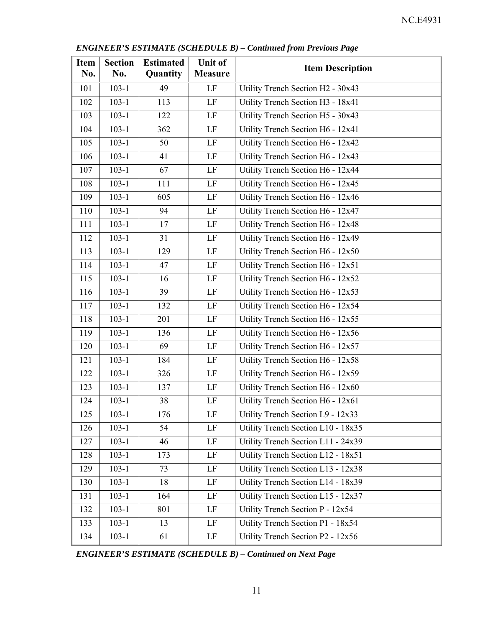| <b>Item</b><br>No. | <b>Section</b><br>No. | <b>Estimated</b><br>Quantity | <b>Unit of</b><br><b>Measure</b> | <b>Item Description</b>            |
|--------------------|-----------------------|------------------------------|----------------------------------|------------------------------------|
| 101                | $103-1$               | 49                           | LF                               | Utility Trench Section H2 - 30x43  |
| 102                | $103-1$               | 113                          | $\rm LF$                         | Utility Trench Section H3 - 18x41  |
| 103                | $103-1$               | 122                          | $\rm LF$                         | Utility Trench Section H5 - 30x43  |
| 104                | $103 - 1$             | 362                          | LF                               | Utility Trench Section H6 - 12x41  |
| 105                | $103 - 1$             | 50                           | LF                               | Utility Trench Section H6 - 12x42  |
| 106                | $103-1$               | 41                           | LF                               | Utility Trench Section H6 - 12x43  |
| 107                | $103-1$               | 67                           | $\rm LF$                         | Utility Trench Section H6 - 12x44  |
| 108                | $103 - 1$             | 111                          | $\rm LF$                         | Utility Trench Section H6 - 12x45  |
| 109                | $103 - 1$             | 605                          | $\rm LF$                         | Utility Trench Section H6 - 12x46  |
| 110                | $103-1$               | 94                           | LF                               | Utility Trench Section H6 - 12x47  |
| 111                | $103 - 1$             | 17                           | LF                               | Utility Trench Section H6 - 12x48  |
| 112                | $103 - 1$             | 31                           | LF                               | Utility Trench Section H6 - 12x49  |
| 113                | $103-1$               | 129                          | LF                               | Utility Trench Section H6 - 12x50  |
| 114                | $103-1$               | 47                           | $\rm LF$                         | Utility Trench Section H6 - 12x51  |
| 115                | $103-1$               | 16                           | $\rm LF$                         | Utility Trench Section H6 - 12x52  |
| 116                | $103-1$               | 39                           | $\rm LF$                         | Utility Trench Section H6 - 12x53  |
| 117                | $103-1$               | 132                          | $\rm LF$                         | Utility Trench Section H6 - 12x54  |
| 118                | $103 - 1$             | 201                          | LF                               | Utility Trench Section H6 - 12x55  |
| 119                | $103 - 1$             | 136                          | $\rm LF$                         | Utility Trench Section H6 - 12x56  |
| 120                | $103-1$               | 69                           | LF                               | Utility Trench Section H6 - 12x57  |
| 121                | $103 - 1$             | 184                          | $\rm LF$                         | Utility Trench Section H6 - 12x58  |
| 122                | $103 - 1$             | 326                          | $\rm LF$                         | Utility Trench Section H6 - 12x59  |
| 123                | $103-1$               | 137                          | $\rm LF$                         | Utility Trench Section H6 - 12x60  |
| 124                | $103-1$               | 38                           | $\rm LF$                         | Utility Trench Section H6 - 12x61  |
| 125                | $103 - 1$             | 176                          | LF                               | Utility Trench Section L9 - 12x33  |
| 126                | $103-1$               | 54                           | LF                               | Utility Trench Section L10 - 18x35 |
| 127                | $103 - 1$             | 46                           | LF                               | Utility Trench Section L11 - 24x39 |
| 128                | $103-1$               | 173                          | LF                               | Utility Trench Section L12 - 18x51 |
| 129                | $103-1$               | 73                           | LF                               | Utility Trench Section L13 - 12x38 |
| 130                | $103-1$               | 18                           | LF                               | Utility Trench Section L14 - 18x39 |
| 131                | $103-1$               | 164                          | LF                               | Utility Trench Section L15 - 12x37 |
| 132                | $103-1$               | 801                          | LF                               | Utility Trench Section P - 12x54   |
| 133                | $103-1$               | 13                           | LF                               | Utility Trench Section P1 - 18x54  |
| 134                | $103 - 1$             | 61                           | LF                               | Utility Trench Section P2 - 12x56  |

*ENGINEER'S ESTIMATE (SCHEDULE B) – Continued from Previous Page*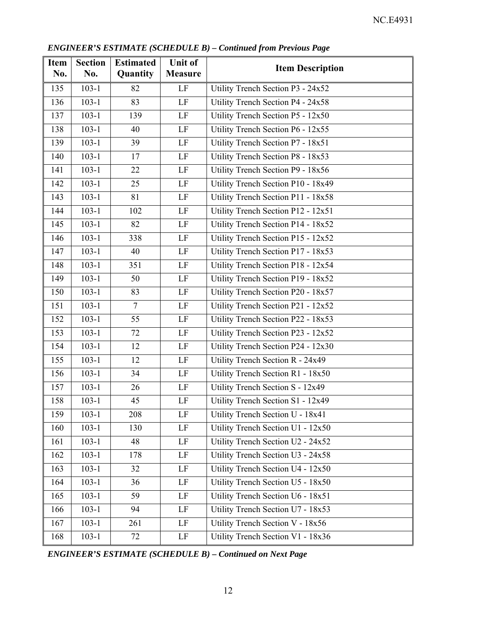| <b>Item</b><br>No. | <b>Section</b><br>No. | <b>Estimated</b><br>Quantity | <b>Unit of</b><br><b>Measure</b> | <b>Item Description</b>             |
|--------------------|-----------------------|------------------------------|----------------------------------|-------------------------------------|
| 135                | $103 - 1$             | 82                           | LF                               | Utility Trench Section P3 - 24x52   |
| 136                | $103 - 1$             | 83                           | LF                               | Utility Trench Section P4 - 24x58   |
| 137                | $103-1$               | 139                          | $\rm LF$                         | Utility Trench Section P5 - $12x50$ |
| 138                | $103 - 1$             | 40                           | LF                               | Utility Trench Section P6 - 12x55   |
| 139                | $103-1$               | 39                           | LF                               | Utility Trench Section P7 - 18x51   |
| 140                | $103 - 1$             | 17                           | LF                               | Utility Trench Section P8 - 18x53   |
| 141                | $103 - 1$             | 22                           | LF                               | Utility Trench Section P9 - 18x56   |
| 142                | $103 - 1$             | 25                           | LF                               | Utility Trench Section P10 - 18x49  |
| 143                | $103-1$               | 81                           | LF                               | Utility Trench Section P11 - 18x58  |
| 144                | $103 - 1$             | 102                          | LF                               | Utility Trench Section P12 - 12x51  |
| 145                | $103 - 1$             | 82                           | $\rm LF$                         | Utility Trench Section P14 - 18x52  |
| 146                | $103 - 1$             | 338                          | $\rm LF$                         | Utility Trench Section P15 - 12x52  |
| 147                | $103 - 1$             | 40                           | LF                               | Utility Trench Section P17 - 18x53  |
| 148                | $103 - 1$             | 351                          | LF                               | Utility Trench Section P18 - 12x54  |
| 149                | $103 - 1$             | 50                           | LF                               | Utility Trench Section P19 - 18x52  |
| 150                | $103 - 1$             | 83                           | LF                               | Utility Trench Section P20 - 18x57  |
| 151                | $103 - 1$             | $\overline{7}$               | LF                               | Utility Trench Section P21 - 12x52  |
| 152                | $103 - 1$             | 55                           | LF                               | Utility Trench Section P22 - 18x53  |
| 153                | $103-1$               | 72                           | $\rm LF$                         | Utility Trench Section P23 - 12x52  |
| 154                | $103-1$               | 12                           | LF                               | Utility Trench Section P24 - 12x30  |
| 155                | $103 - 1$             | 12                           | $\rm LF$                         | Utility Trench Section R - 24x49    |
| 156                | $103 - 1$             | 34                           | LF                               | Utility Trench Section R1 - 18x50   |
| 157                | $103 - 1$             | 26                           | $\rm LF$                         | Utility Trench Section S - 12x49    |
| 158                | $103 - 1$             | 45                           | LF                               | Utility Trench Section S1 - 12x49   |
| 159                | $103 - 1$             | 208                          | $\rm LF$                         | Utility Trench Section U - 18x41    |
| 160                | $103 - 1$             | 130                          | LF                               | Utility Trench Section U1 - 12x50   |
| 161                | $103 - 1$             | 48                           | LF                               | Utility Trench Section U2 - 24x52   |
| 162                | $103 - 1$             | 178                          | $\rm LF$                         | Utility Trench Section U3 - 24x58   |
| 163                | $103 - 1$             | 32                           | LF                               | Utility Trench Section U4 - 12x50   |
| 164                | $103 - 1$             | 36                           | LF                               | Utility Trench Section U5 - 18x50   |
| 165                | $103 - 1$             | 59                           | LF                               | Utility Trench Section U6 - 18x51   |
| 166                | $103 - 1$             | 94                           | LF                               | Utility Trench Section U7 - 18x53   |
| 167                | $103 - 1$             | 261                          | LF                               | Utility Trench Section V - 18x56    |
| 168                | $103-1$               | 72                           | LF                               | Utility Trench Section V1 - 18x36   |

*ENGINEER'S ESTIMATE (SCHEDULE B) – Continued from Previous Page*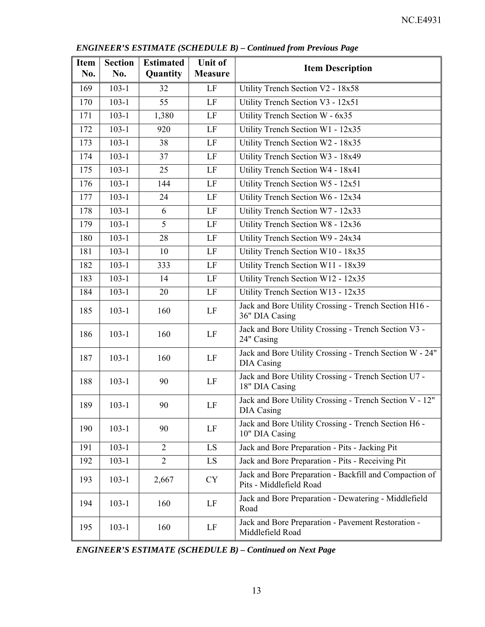| <b>Item</b><br>No. | <b>Section</b><br>No. | <b>Estimated</b><br>Quantity | <b>Unit of</b><br><b>Measure</b> | <b>Item Description</b>                                                           |
|--------------------|-----------------------|------------------------------|----------------------------------|-----------------------------------------------------------------------------------|
| 169                | $103 - 1$             | 32                           | LF                               | Utility Trench Section V2 - 18x58                                                 |
| 170                | $103 - 1$             | 55                           | LF                               | Utility Trench Section V3 - 12x51                                                 |
| 171                | $103 - 1$             | 1,380                        | LF                               | Utility Trench Section W - 6x35                                                   |
| 172                | $103-1$               | 920                          | LF                               | Utility Trench Section W1 - 12x35                                                 |
| 173                | $103 - 1$             | 38                           | LF                               | Utility Trench Section W2 - 18x35                                                 |
| 174                | $103 - 1$             | 37                           | LF                               | Utility Trench Section W3 - 18x49                                                 |
| 175                | $103 - 1$             | 25                           | LF                               | Utility Trench Section W4 - 18x41                                                 |
| 176                | $103 - 1$             | 144                          | $\rm LF$                         | Utility Trench Section W5 - 12x51                                                 |
| 177                | $103 - 1$             | 24                           | LF                               | Utility Trench Section W6 - 12x34                                                 |
| 178                | $103 - 1$             | 6                            | $\rm LF$                         | Utility Trench Section W7 - 12x33                                                 |
| 179                | $103-1$               | 5                            | LF                               | Utility Trench Section W8 - 12x36                                                 |
| 180                | $103 - 1$             | 28                           | LF                               | Utility Trench Section W9 - 24x34                                                 |
| 181                | $103 - 1$             | 10                           | LF                               | Utility Trench Section W10 - 18x35                                                |
| 182                | $103 - 1$             | 333                          | LF                               | Utility Trench Section W11 - 18x39                                                |
| 183                | $103 - 1$             | 14                           | LF                               | Utility Trench Section W12 - 12x35                                                |
| 184                | $103 - 1$             | 20                           | $\rm LF$                         | Utility Trench Section W13 - 12x35                                                |
| 185                | $103 - 1$             | 160                          | LF                               | Jack and Bore Utility Crossing - Trench Section H16 -<br>36" DIA Casing           |
| 186                | $103 - 1$             | 160                          | LF                               | Jack and Bore Utility Crossing - Trench Section V3 -<br>24" Casing                |
| 187                | $103 - 1$             | 160                          | LF                               | Jack and Bore Utility Crossing - Trench Section W - 24"<br>DIA Casing             |
| 188                | $103 - 1$             | 90                           | LF                               | Jack and Bore Utility Crossing - Trench Section U7 -<br>18" DIA Casing            |
| 189                | $103 - 1$             | 90                           | LF                               | Jack and Bore Utility Crossing - Trench Section V - 12"<br>DIA Casing             |
| 190                | $103 - 1$             | 90                           | LF                               | Jack and Bore Utility Crossing - Trench Section H6 -<br>10" DIA Casing            |
| 191                | $103-1$               | $\overline{2}$               | LS                               | Jack and Bore Preparation - Pits - Jacking Pit                                    |
| 192                | $103 - 1$             | $\overline{2}$               | LS                               | Jack and Bore Preparation - Pits - Receiving Pit                                  |
| 193                | $103 - 1$             | 2,667                        | <b>CY</b>                        | Jack and Bore Preparation - Backfill and Compaction of<br>Pits - Middlefield Road |
| 194                | $103 - 1$             | 160                          | LF                               | Jack and Bore Preparation - Dewatering - Middlefield<br>Road                      |
| 195                | $103 - 1$             | 160                          | LF                               | Jack and Bore Preparation - Pavement Restoration -<br>Middlefield Road            |

*ENGINEER'S ESTIMATE (SCHEDULE B) – Continued from Previous Page*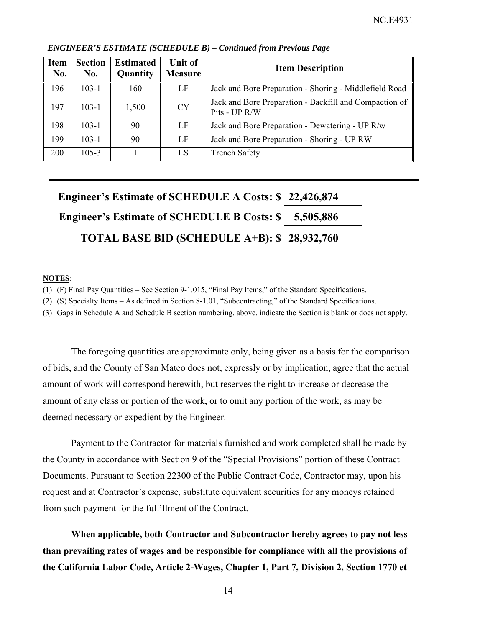| <b>Item</b><br>No. | <b>Section</b><br>No. | <b>Estimated</b><br>Quantity | <b>Unit of</b><br><b>Measure</b> | <b>Item Description</b>                                                 |
|--------------------|-----------------------|------------------------------|----------------------------------|-------------------------------------------------------------------------|
| 196                | $103 - 1$             | 160                          | LF                               | Jack and Bore Preparation - Shoring - Middlefield Road                  |
| 197                | $103 - 1$             | 1,500                        | <b>CY</b>                        | Jack and Bore Preparation - Backfill and Compaction of<br>Pits - UP R/W |
| 198                | $103-1$               | 90                           | LF                               | Jack and Bore Preparation - Dewatering - UP R/w                         |
| 199                | $103 - 1$             | 90                           | LF                               | Jack and Bore Preparation - Shoring - UP RW                             |
| 200                | $105 - 3$             |                              | LS                               | <b>Trench Safety</b>                                                    |

#### *ENGINEER'S ESTIMATE (SCHEDULE B) – Continued from Previous Page*

| Engineer's Estimate of SCHEDULE A Costs: \$22,426,874 |           |
|-------------------------------------------------------|-----------|
| <b>Engineer's Estimate of SCHEDULE B Costs: \$</b>    | 5,505,886 |
| TOTAL BASE BID (SCHEDULE A+B): \$28,932,760           |           |

#### **NOTES:**

(1) (F) Final Pay Quantities – See Section 9-1.015, "Final Pay Items," of the Standard Specifications.

(2) (S) Specialty Items – As defined in Section 8-1.01, "Subcontracting," of the Standard Specifications.

(3) Gaps in Schedule A and Schedule B section numbering, above, indicate the Section is blank or does not apply.

The foregoing quantities are approximate only, being given as a basis for the comparison of bids, and the County of San Mateo does not, expressly or by implication, agree that the actual amount of work will correspond herewith, but reserves the right to increase or decrease the amount of any class or portion of the work, or to omit any portion of the work, as may be deemed necessary or expedient by the Engineer.

Payment to the Contractor for materials furnished and work completed shall be made by the County in accordance with Section 9 of the "Special Provisions" portion of these Contract Documents. Pursuant to Section 22300 of the Public Contract Code, Contractor may, upon his request and at Contractor's expense, substitute equivalent securities for any moneys retained from such payment for the fulfillment of the Contract.

**When applicable, both Contractor and Subcontractor hereby agrees to pay not less than prevailing rates of wages and be responsible for compliance with all the provisions of the California Labor Code, Article 2-Wages, Chapter 1, Part 7, Division 2, Section 1770 et**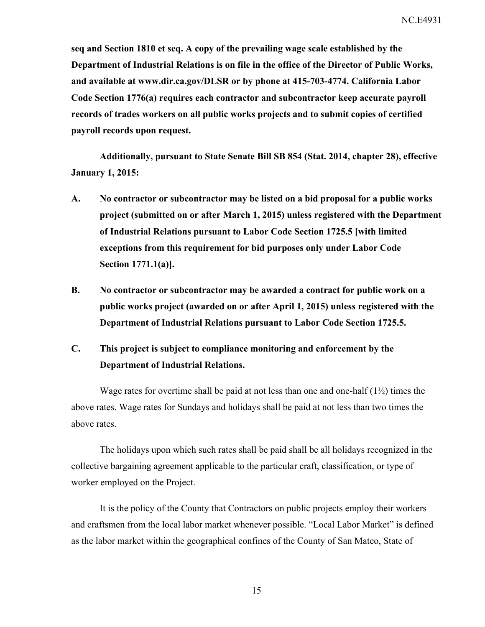**seq and Section 1810 et seq. A copy of the prevailing wage scale established by the Department of Industrial Relations is on file in the office of the Director of Public Works, and available at www.dir.ca.gov/DLSR or by phone at 415-703-4774. California Labor Code Section 1776(a) requires each contractor and subcontractor keep accurate payroll records of trades workers on all public works projects and to submit copies of certified payroll records upon request.** 

**Additionally, pursuant to State Senate Bill SB 854 (Stat. 2014, chapter 28), effective January 1, 2015:** 

- **A. No contractor or subcontractor may be listed on a bid proposal for a public works project (submitted on or after March 1, 2015) unless registered with the Department of Industrial Relations pursuant to Labor Code Section 1725.5 [with limited exceptions from this requirement for bid purposes only under Labor Code Section 1771.1(a)].**
- **B. No contractor or subcontractor may be awarded a contract for public work on a public works project (awarded on or after April 1, 2015) unless registered with the Department of Industrial Relations pursuant to Labor Code Section 1725.5.**

## **C. This project is subject to compliance monitoring and enforcement by the Department of Industrial Relations.**

Wage rates for overtime shall be paid at not less than one and one-half  $(1\frac{1}{2})$  times the above rates. Wage rates for Sundays and holidays shall be paid at not less than two times the above rates.

The holidays upon which such rates shall be paid shall be all holidays recognized in the collective bargaining agreement applicable to the particular craft, classification, or type of worker employed on the Project.

It is the policy of the County that Contractors on public projects employ their workers and craftsmen from the local labor market whenever possible. "Local Labor Market" is defined as the labor market within the geographical confines of the County of San Mateo, State of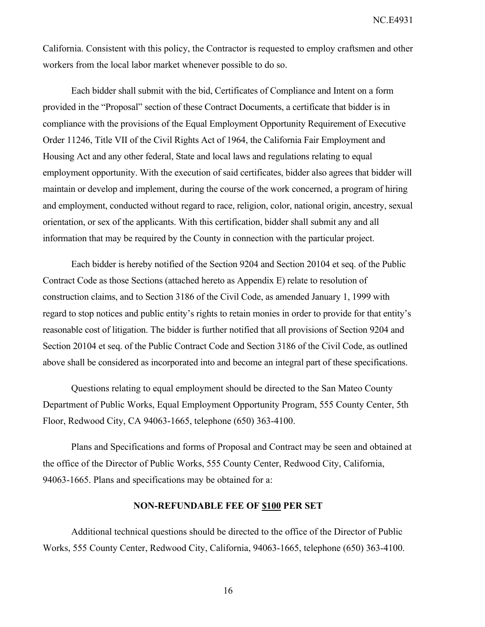California. Consistent with this policy, the Contractor is requested to employ craftsmen and other workers from the local labor market whenever possible to do so.

Each bidder shall submit with the bid, Certificates of Compliance and Intent on a form provided in the "Proposal" section of these Contract Documents, a certificate that bidder is in compliance with the provisions of the Equal Employment Opportunity Requirement of Executive Order 11246, Title VII of the Civil Rights Act of 1964, the California Fair Employment and Housing Act and any other federal, State and local laws and regulations relating to equal employment opportunity. With the execution of said certificates, bidder also agrees that bidder will maintain or develop and implement, during the course of the work concerned, a program of hiring and employment, conducted without regard to race, religion, color, national origin, ancestry, sexual orientation, or sex of the applicants. With this certification, bidder shall submit any and all information that may be required by the County in connection with the particular project.

Each bidder is hereby notified of the Section 9204 and Section 20104 et seq. of the Public Contract Code as those Sections (attached hereto as Appendix E) relate to resolution of construction claims, and to Section 3186 of the Civil Code, as amended January 1, 1999 with regard to stop notices and public entity's rights to retain monies in order to provide for that entity's reasonable cost of litigation. The bidder is further notified that all provisions of Section 9204 and Section 20104 et seq. of the Public Contract Code and Section 3186 of the Civil Code, as outlined above shall be considered as incorporated into and become an integral part of these specifications.

Questions relating to equal employment should be directed to the San Mateo County Department of Public Works, Equal Employment Opportunity Program, 555 County Center, 5th Floor, Redwood City, CA 94063-1665, telephone (650) 363-4100.

Plans and Specifications and forms of Proposal and Contract may be seen and obtained at the office of the Director of Public Works, 555 County Center, Redwood City, California, 94063-1665. Plans and specifications may be obtained for a:

### **NON-REFUNDABLE FEE OF \$100 PER SET**

Additional technical questions should be directed to the office of the Director of Public Works, 555 County Center, Redwood City, California, 94063-1665, telephone (650) 363-4100.

16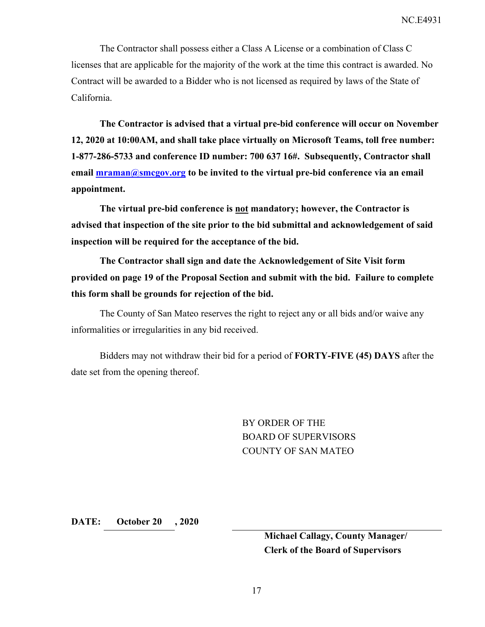The Contractor shall possess either a Class A License or a combination of Class C licenses that are applicable for the majority of the work at the time this contract is awarded. No Contract will be awarded to a Bidder who is not licensed as required by laws of the State of California.

**The Contractor is advised that a virtual pre-bid conference will occur on November 12, 2020 at 10:00AM, and shall take place virtually on Microsoft Teams, toll free number: 1-877-286-5733 and conference ID number: 700 637 16#. Subsequently, Contractor shall email mraman@smcgov.org to be invited to the virtual pre-bid conference via an email appointment.** 

**The virtual pre-bid conference is not mandatory; however, the Contractor is advised that inspection of the site prior to the bid submittal and acknowledgement of said inspection will be required for the acceptance of the bid.** 

**The Contractor shall sign and date the Acknowledgement of Site Visit form provided on page 19 of the Proposal Section and submit with the bid. Failure to complete this form shall be grounds for rejection of the bid.** 

The County of San Mateo reserves the right to reject any or all bids and/or waive any informalities or irregularities in any bid received.

Bidders may not withdraw their bid for a period of **FORTY-FIVE (45) DAYS** after the date set from the opening thereof.

> BY ORDER OF THE BOARD OF SUPERVISORS COUNTY OF SAN MATEO

**DATE: October 20 , 2020** 

**Michael Callagy, County Manager/ Clerk of the Board of Supervisors**